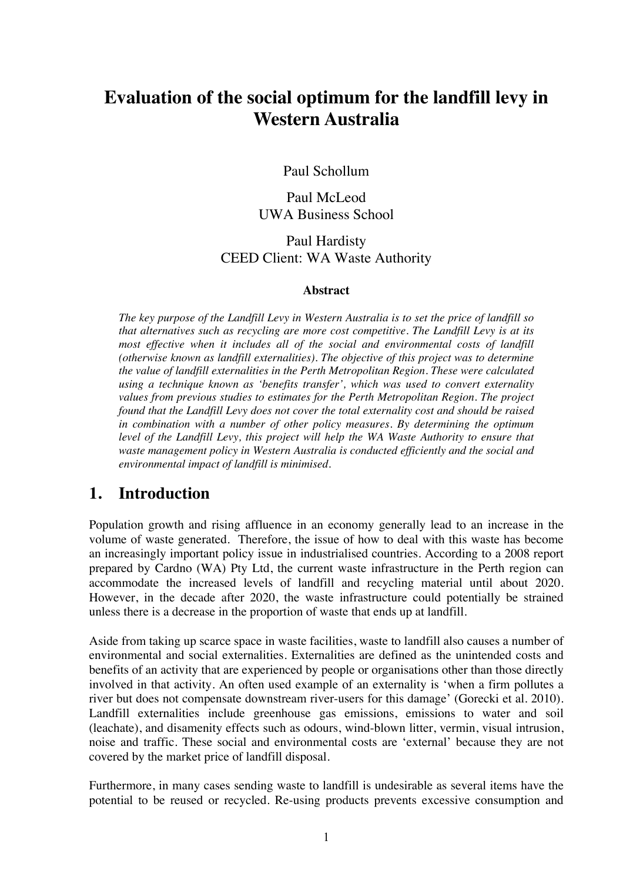# **Evaluation of the social optimum for the landfill levy in Western Australia**

Paul Schollum

Paul McLeod UWA Business School

Paul Hardisty CEED Client: WA Waste Authority

#### **Abstract**

*The key purpose of the Landfill Levy in Western Australia is to set the price of landfill so that alternatives such as recycling are more cost competitive. The Landfill Levy is at its most effective when it includes all of the social and environmental costs of landfill (otherwise known as landfill externalities). The objective of this project was to determine the value of landfill externalities in the Perth Metropolitan Region. These were calculated using a technique known as 'benefits transfer', which was used to convert externality values from previous studies to estimates for the Perth Metropolitan Region. The project found that the Landfill Levy does not cover the total externality cost and should be raised in combination with a number of other policy measures. By determining the optimum level of the Landfill Levy, this project will help the WA Waste Authority to ensure that waste management policy in Western Australia is conducted efficiently and the social and environmental impact of landfill is minimised.*

## **1. Introduction**

Population growth and rising affluence in an economy generally lead to an increase in the volume of waste generated. Therefore, the issue of how to deal with this waste has become an increasingly important policy issue in industrialised countries. According to a 2008 report prepared by Cardno (WA) Pty Ltd, the current waste infrastructure in the Perth region can accommodate the increased levels of landfill and recycling material until about 2020. However, in the decade after 2020, the waste infrastructure could potentially be strained unless there is a decrease in the proportion of waste that ends up at landfill.

Aside from taking up scarce space in waste facilities, waste to landfill also causes a number of environmental and social externalities. Externalities are defined as the unintended costs and benefits of an activity that are experienced by people or organisations other than those directly involved in that activity. An often used example of an externality is 'when a firm pollutes a river but does not compensate downstream river-users for this damage' (Gorecki et al. 2010). Landfill externalities include greenhouse gas emissions, emissions to water and soil (leachate), and disamenity effects such as odours, wind-blown litter, vermin, visual intrusion, noise and traffic. These social and environmental costs are 'external' because they are not covered by the market price of landfill disposal.

Furthermore, in many cases sending waste to landfill is undesirable as several items have the potential to be reused or recycled. Re-using products prevents excessive consumption and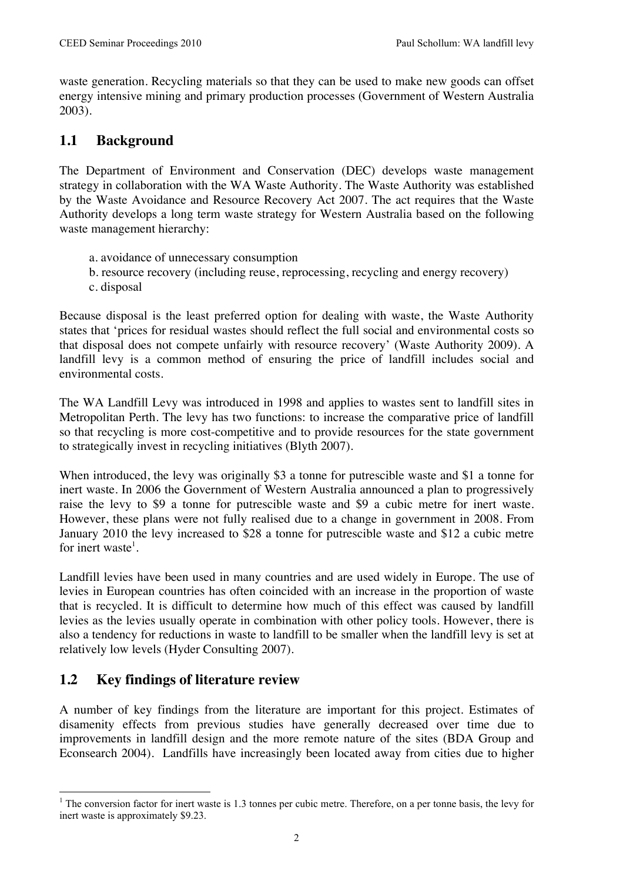waste generation. Recycling materials so that they can be used to make new goods can offset energy intensive mining and primary production processes (Government of Western Australia 2003).

### **1.1 Background**

The Department of Environment and Conservation (DEC) develops waste management strategy in collaboration with the WA Waste Authority. The Waste Authority was established by the Waste Avoidance and Resource Recovery Act 2007. The act requires that the Waste Authority develops a long term waste strategy for Western Australia based on the following waste management hierarchy:

- a. avoidance of unnecessary consumption
- b. resource recovery (including reuse, reprocessing, recycling and energy recovery)
- c. disposal

Because disposal is the least preferred option for dealing with waste, the Waste Authority states that 'prices for residual wastes should reflect the full social and environmental costs so that disposal does not compete unfairly with resource recovery' (Waste Authority 2009). A landfill levy is a common method of ensuring the price of landfill includes social and environmental costs.

The WA Landfill Levy was introduced in 1998 and applies to wastes sent to landfill sites in Metropolitan Perth. The levy has two functions: to increase the comparative price of landfill so that recycling is more cost-competitive and to provide resources for the state government to strategically invest in recycling initiatives (Blyth 2007).

When introduced, the levy was originally \$3 a tonne for putrescible waste and \$1 a tonne for inert waste. In 2006 the Government of Western Australia announced a plan to progressively raise the levy to \$9 a tonne for putrescible waste and \$9 a cubic metre for inert waste. However, these plans were not fully realised due to a change in government in 2008. From January 2010 the levy increased to \$28 a tonne for putrescible waste and \$12 a cubic metre for inert waste<sup>1</sup>.

Landfill levies have been used in many countries and are used widely in Europe. The use of levies in European countries has often coincided with an increase in the proportion of waste that is recycled. It is difficult to determine how much of this effect was caused by landfill levies as the levies usually operate in combination with other policy tools. However, there is also a tendency for reductions in waste to landfill to be smaller when the landfill levy is set at relatively low levels (Hyder Consulting 2007).

## **1.2 Key findings of literature review**

A number of key findings from the literature are important for this project. Estimates of disamenity effects from previous studies have generally decreased over time due to improvements in landfill design and the more remote nature of the sites (BDA Group and Econsearch 2004). Landfills have increasingly been located away from cities due to higher

 $\frac{1}{1}$ <sup>1</sup> The conversion factor for inert waste is 1.3 tonnes per cubic metre. Therefore, on a per tonne basis, the levy for inert waste is approximately \$9.23.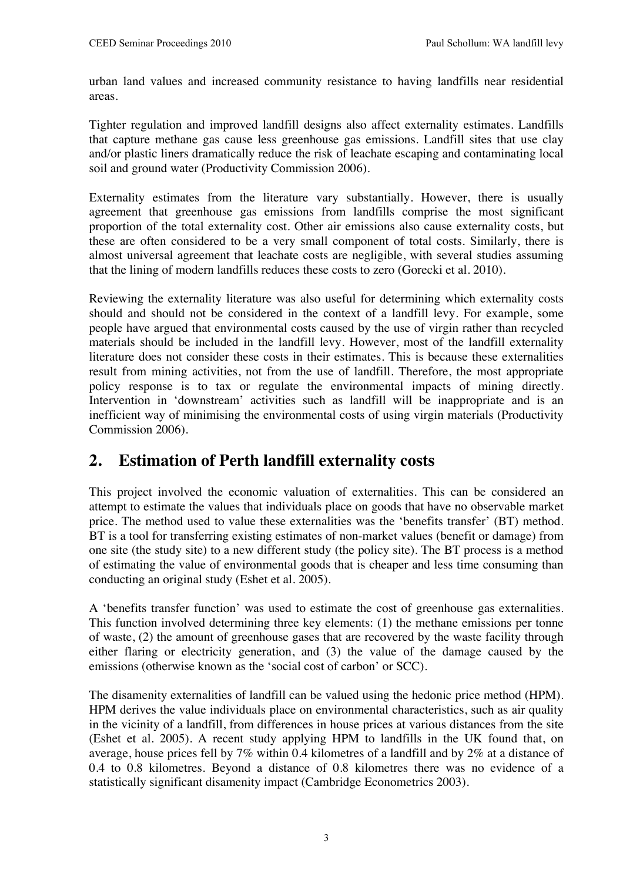urban land values and increased community resistance to having landfills near residential areas.

Tighter regulation and improved landfill designs also affect externality estimates. Landfills that capture methane gas cause less greenhouse gas emissions. Landfill sites that use clay and/or plastic liners dramatically reduce the risk of leachate escaping and contaminating local soil and ground water (Productivity Commission 2006).

Externality estimates from the literature vary substantially. However, there is usually agreement that greenhouse gas emissions from landfills comprise the most significant proportion of the total externality cost. Other air emissions also cause externality costs, but these are often considered to be a very small component of total costs. Similarly, there is almost universal agreement that leachate costs are negligible, with several studies assuming that the lining of modern landfills reduces these costs to zero (Gorecki et al. 2010).

Reviewing the externality literature was also useful for determining which externality costs should and should not be considered in the context of a landfill levy. For example, some people have argued that environmental costs caused by the use of virgin rather than recycled materials should be included in the landfill levy. However, most of the landfill externality literature does not consider these costs in their estimates. This is because these externalities result from mining activities, not from the use of landfill. Therefore, the most appropriate policy response is to tax or regulate the environmental impacts of mining directly. Intervention in 'downstream' activities such as landfill will be inappropriate and is an inefficient way of minimising the environmental costs of using virgin materials (Productivity Commission 2006).

## **2. Estimation of Perth landfill externality costs**

This project involved the economic valuation of externalities. This can be considered an attempt to estimate the values that individuals place on goods that have no observable market price. The method used to value these externalities was the 'benefits transfer' (BT) method. BT is a tool for transferring existing estimates of non-market values (benefit or damage) from one site (the study site) to a new different study (the policy site). The BT process is a method of estimating the value of environmental goods that is cheaper and less time consuming than conducting an original study (Eshet et al. 2005).

A 'benefits transfer function' was used to estimate the cost of greenhouse gas externalities. This function involved determining three key elements: (1) the methane emissions per tonne of waste, (2) the amount of greenhouse gases that are recovered by the waste facility through either flaring or electricity generation, and (3) the value of the damage caused by the emissions (otherwise known as the 'social cost of carbon' or SCC).

The disamenity externalities of landfill can be valued using the hedonic price method (HPM). HPM derives the value individuals place on environmental characteristics, such as air quality in the vicinity of a landfill, from differences in house prices at various distances from the site (Eshet et al. 2005). A recent study applying HPM to landfills in the UK found that, on average, house prices fell by 7% within 0.4 kilometres of a landfill and by 2% at a distance of 0.4 to 0.8 kilometres. Beyond a distance of 0.8 kilometres there was no evidence of a statistically significant disamenity impact (Cambridge Econometrics 2003).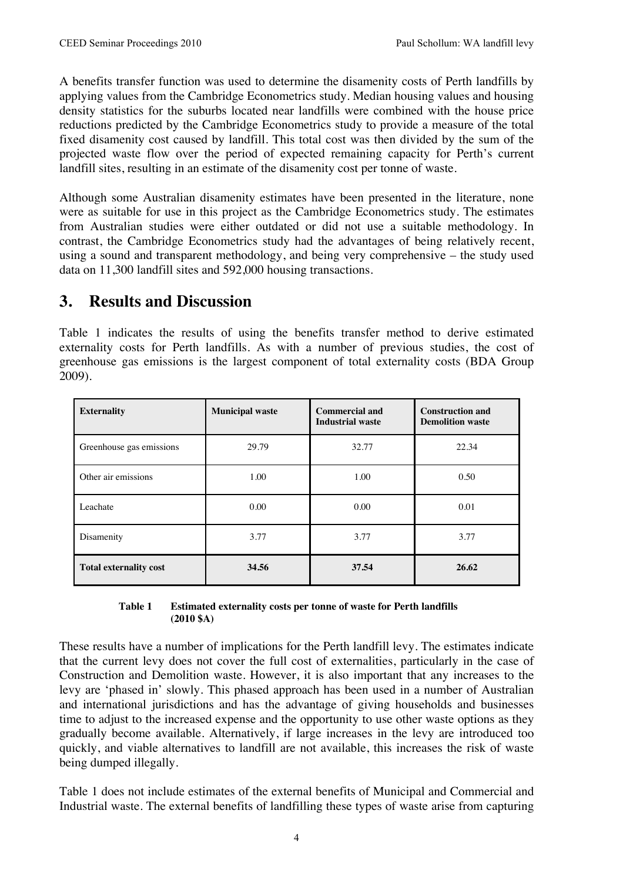A benefits transfer function was used to determine the disamenity costs of Perth landfills by applying values from the Cambridge Econometrics study. Median housing values and housing density statistics for the suburbs located near landfills were combined with the house price reductions predicted by the Cambridge Econometrics study to provide a measure of the total fixed disamenity cost caused by landfill. This total cost was then divided by the sum of the projected waste flow over the period of expected remaining capacity for Perth's current landfill sites, resulting in an estimate of the disamenity cost per tonne of waste.

Although some Australian disamenity estimates have been presented in the literature, none were as suitable for use in this project as the Cambridge Econometrics study. The estimates from Australian studies were either outdated or did not use a suitable methodology. In contrast, the Cambridge Econometrics study had the advantages of being relatively recent, using a sound and transparent methodology, and being very comprehensive – the study used data on 11,300 landfill sites and 592,000 housing transactions.

## **3. Results and Discussion**

Table 1 indicates the results of using the benefits transfer method to derive estimated externality costs for Perth landfills. As with a number of previous studies, the cost of greenhouse gas emissions is the largest component of total externality costs (BDA Group 2009).

| <b>Externality</b>            | <b>Municipal waste</b> | <b>Commercial and</b><br><b>Industrial waste</b> | <b>Construction and</b><br><b>Demolition waste</b> |
|-------------------------------|------------------------|--------------------------------------------------|----------------------------------------------------|
| Greenhouse gas emissions      | 29.79                  | 32.77                                            | 22.34                                              |
| Other air emissions           | 1.00                   | 1.00                                             | 0.50                                               |
| Leachate                      | 0.00                   | 0.00                                             | 0.01                                               |
| Disamenity                    | 3.77                   | 3.77                                             | 3.77                                               |
| <b>Total externality cost</b> | 34.56                  | 37.54                                            | 26.62                                              |

#### **Table 1 Estimated externality costs per tonne of waste for Perth landfills (2010 \$A)**

These results have a number of implications for the Perth landfill levy. The estimates indicate that the current levy does not cover the full cost of externalities, particularly in the case of Construction and Demolition waste. However, it is also important that any increases to the levy are 'phased in' slowly. This phased approach has been used in a number of Australian and international jurisdictions and has the advantage of giving households and businesses time to adjust to the increased expense and the opportunity to use other waste options as they gradually become available. Alternatively, if large increases in the levy are introduced too quickly, and viable alternatives to landfill are not available, this increases the risk of waste being dumped illegally.

Table 1 does not include estimates of the external benefits of Municipal and Commercial and Industrial waste. The external benefits of landfilling these types of waste arise from capturing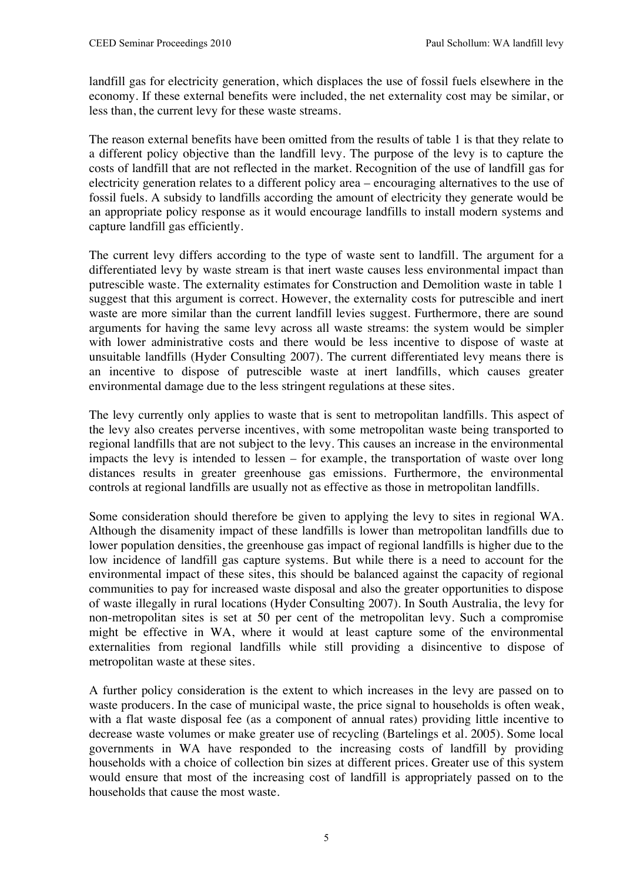landfill gas for electricity generation, which displaces the use of fossil fuels elsewhere in the economy. If these external benefits were included, the net externality cost may be similar, or less than, the current levy for these waste streams.

The reason external benefits have been omitted from the results of table 1 is that they relate to a different policy objective than the landfill levy. The purpose of the levy is to capture the costs of landfill that are not reflected in the market. Recognition of the use of landfill gas for electricity generation relates to a different policy area – encouraging alternatives to the use of fossil fuels. A subsidy to landfills according the amount of electricity they generate would be an appropriate policy response as it would encourage landfills to install modern systems and capture landfill gas efficiently.

The current levy differs according to the type of waste sent to landfill. The argument for a differentiated levy by waste stream is that inert waste causes less environmental impact than putrescible waste. The externality estimates for Construction and Demolition waste in table 1 suggest that this argument is correct. However, the externality costs for putrescible and inert waste are more similar than the current landfill levies suggest. Furthermore, there are sound arguments for having the same levy across all waste streams: the system would be simpler with lower administrative costs and there would be less incentive to dispose of waste at unsuitable landfills (Hyder Consulting 2007). The current differentiated levy means there is an incentive to dispose of putrescible waste at inert landfills, which causes greater environmental damage due to the less stringent regulations at these sites.

The levy currently only applies to waste that is sent to metropolitan landfills. This aspect of the levy also creates perverse incentives, with some metropolitan waste being transported to regional landfills that are not subject to the levy. This causes an increase in the environmental impacts the levy is intended to lessen – for example, the transportation of waste over long distances results in greater greenhouse gas emissions. Furthermore, the environmental controls at regional landfills are usually not as effective as those in metropolitan landfills.

Some consideration should therefore be given to applying the levy to sites in regional WA. Although the disamenity impact of these landfills is lower than metropolitan landfills due to lower population densities, the greenhouse gas impact of regional landfills is higher due to the low incidence of landfill gas capture systems. But while there is a need to account for the environmental impact of these sites, this should be balanced against the capacity of regional communities to pay for increased waste disposal and also the greater opportunities to dispose of waste illegally in rural locations (Hyder Consulting 2007). In South Australia, the levy for non-metropolitan sites is set at 50 per cent of the metropolitan levy. Such a compromise might be effective in WA, where it would at least capture some of the environmental externalities from regional landfills while still providing a disincentive to dispose of metropolitan waste at these sites.

A further policy consideration is the extent to which increases in the levy are passed on to waste producers. In the case of municipal waste, the price signal to households is often weak, with a flat waste disposal fee (as a component of annual rates) providing little incentive to decrease waste volumes or make greater use of recycling (Bartelings et al. 2005). Some local governments in WA have responded to the increasing costs of landfill by providing households with a choice of collection bin sizes at different prices. Greater use of this system would ensure that most of the increasing cost of landfill is appropriately passed on to the households that cause the most waste.